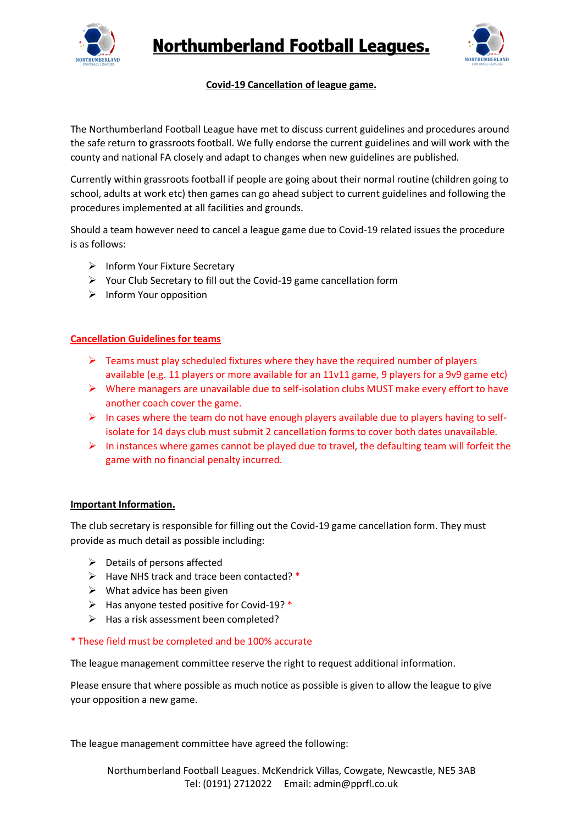



## **Covid-19 Cancellation of league game.**

The Northumberland Football League have met to discuss current guidelines and procedures around the safe return to grassroots football. We fully endorse the current guidelines and will work with the county and national FA closely and adapt to changes when new guidelines are published.

Currently within grassroots football if people are going about their normal routine (children going to school, adults at work etc) then games can go ahead subject to current guidelines and following the procedures implemented at all facilities and grounds.

Should a team however need to cancel a league game due to Covid-19 related issues the procedure is as follows:

- $\triangleright$  Inform Your Fixture Secretary
- $\triangleright$  Your Club Secretary to fill out the Covid-19 game cancellation form
- $\triangleright$  Inform Your opposition

### **Cancellation Guidelines for teams**

- $\triangleright$  Teams must play scheduled fixtures where they have the required number of players available (e.g. 11 players or more available for an 11v11 game, 9 players for a 9v9 game etc)
- $\triangleright$  Where managers are unavailable due to self-isolation clubs MUST make every effort to have another coach cover the game.
- $\triangleright$  In cases where the team do not have enough players available due to players having to selfisolate for 14 days club must submit 2 cancellation forms to cover both dates unavailable.
- $\triangleright$  In instances where games cannot be played due to travel, the defaulting team will forfeit the game with no financial penalty incurred.

### **Important Information.**

The club secretary is responsible for filling out the Covid-19 game cancellation form. They must provide as much detail as possible including:

- $\triangleright$  Details of persons affected
- $\triangleright$  Have NHS track and trace been contacted? \*
- $\triangleright$  What advice has been given
- $\triangleright$  Has anyone tested positive for Covid-19? \*
- $\triangleright$  Has a risk assessment been completed?

### \* These field must be completed and be 100% accurate

The league management committee reserve the right to request additional information.

Please ensure that where possible as much notice as possible is given to allow the league to give your opposition a new game.

The league management committee have agreed the following: